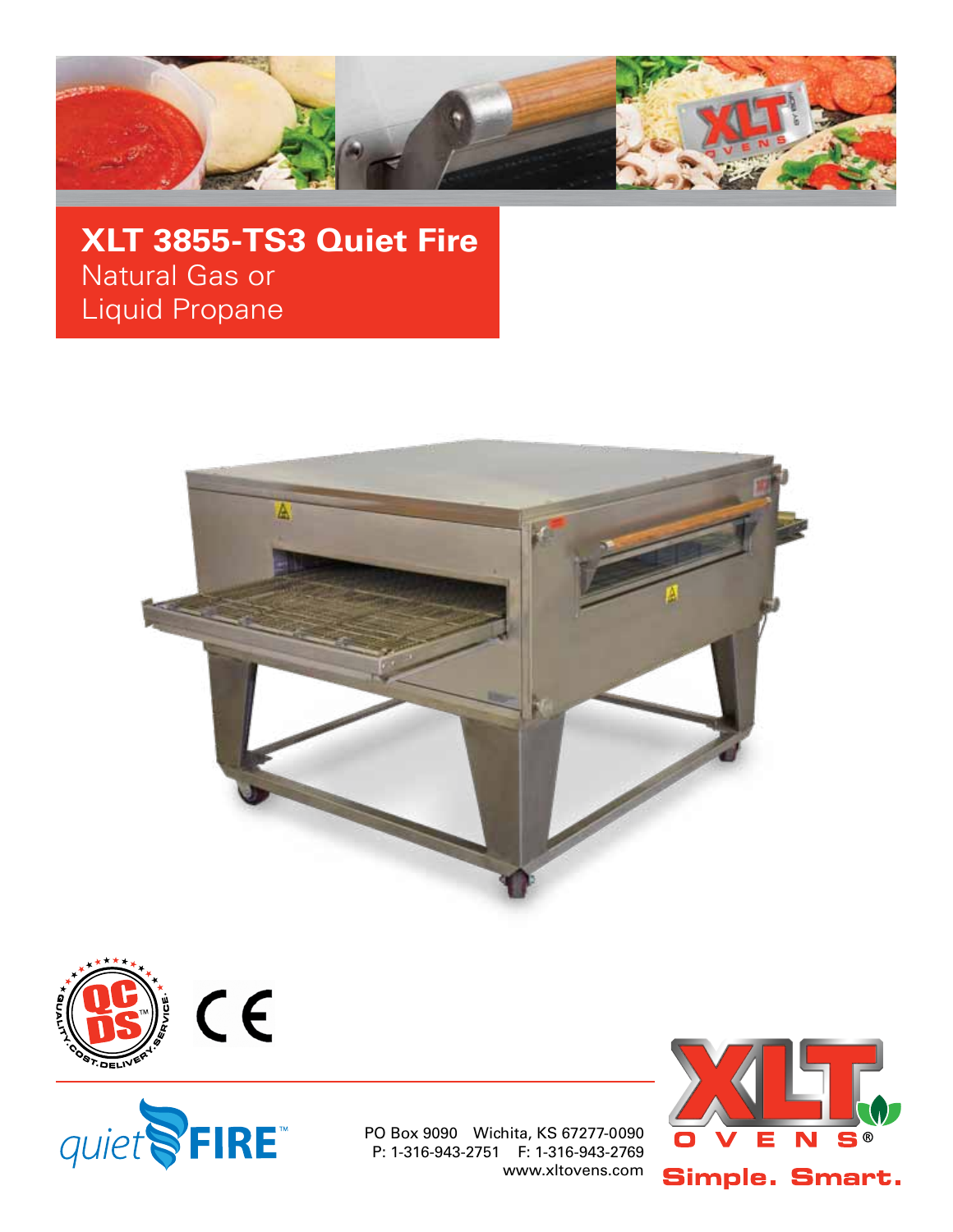

**XLT 3855-TS3 Quiet Fire** Natural Gas or Liquid Propane







PO Box 9090 Wichita, KS 67277-0090 P: 1-316-943-2751 F: 1-316-943-2769 www.xltovens.com

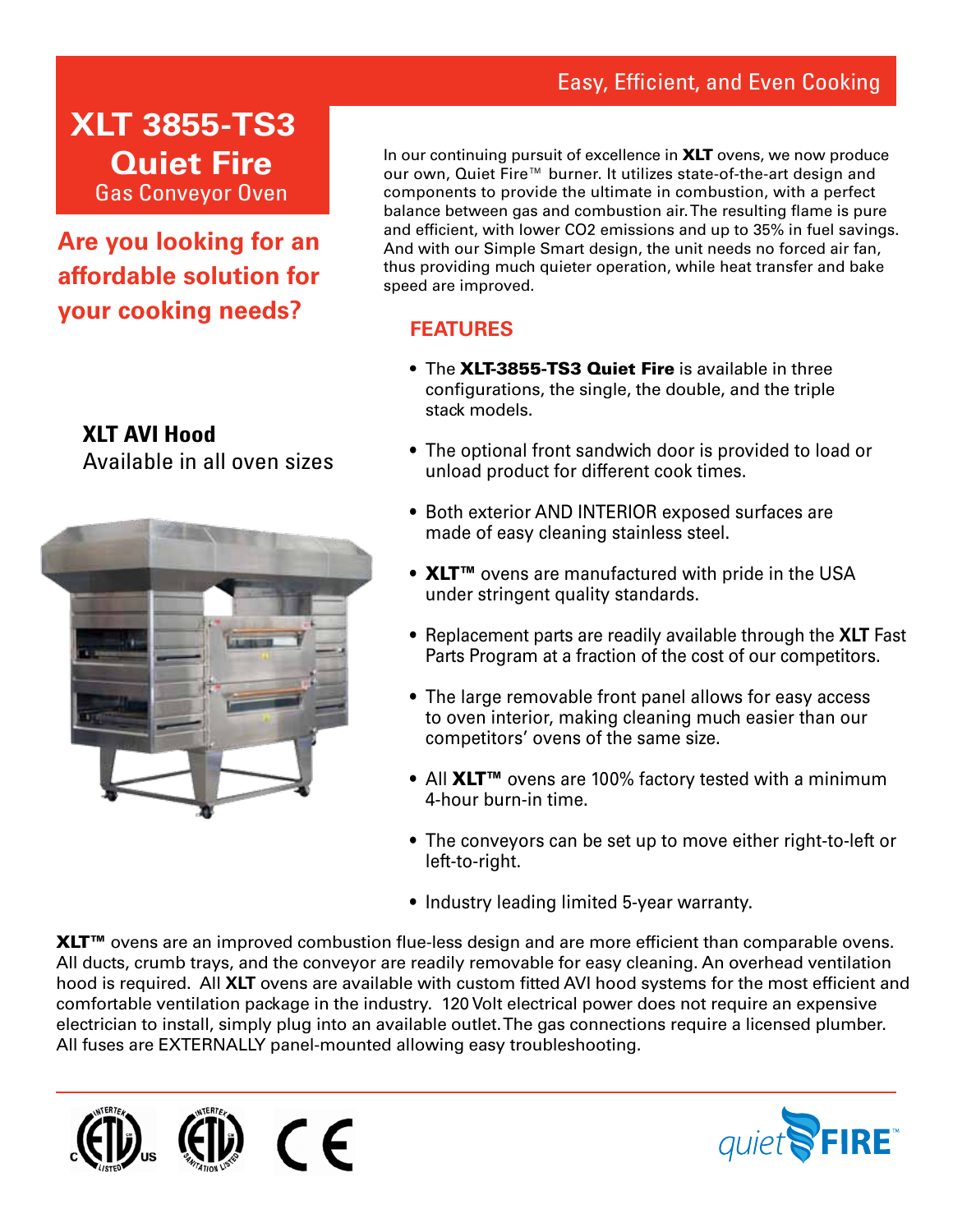## Easy, Efficient, and Even Cooking

## **XLT 3855-TS3 Quiet Fire** Gas Conveyor Oven

**Are you looking for an affordable solution for your cooking needs?**

**XLT AVI Hood** Available in all oven sizes



In our continuing pursuit of excellence in XLT ovens, we now produce our own, Quiet Fire™ burner. It utilizes state-of-the-art design and components to provide the ultimate in combustion, with a perfect balance between gas and combustion air. The resulting flame is pure and efficient, with lower CO2 emissions and up to 35% in fuel savings. And with our Simple Smart design, the unit needs no forced air fan, thus providing much quieter operation, while heat transfer and bake speed are improved.

### **FEATURES**

- The XLT-3855-TS3 Quiet Fire is available in three configurations, the single, the double, and the triple stack models.
- The optional front sandwich door is provided to load or unload product for different cook times.
- Both exterior AND INTERIOR exposed surfaces are made of easy cleaning stainless steel.
- XLT<sup>™</sup> ovens are manufactured with pride in the USA under stringent quality standards.
- Replacement parts are readily available through the **XLT** Fast Parts Program at a fraction of the cost of our competitors.
- The large removable front panel allows for easy access to oven interior, making cleaning much easier than our competitors' ovens of the same size.
- All XLT<sup>™</sup> ovens are 100% factory tested with a minimum 4-hour burn-in time.
- The conveyors can be set up to move either right-to-left or left-to-right.
- Industry leading limited 5-year warranty.

XLT<sup>™</sup> ovens are an improved combustion flue-less design and are more efficient than comparable ovens. All ducts, crumb trays, and the conveyor are readily removable for easy cleaning. An overhead ventilation hood is required. All **XLT** ovens are available with custom fitted AVI hood systems for the most efficient and comfortable ventilation package in the industry. 120 Volt electrical power does not require an expensive electrician to install, simply plug into an available outlet. The gas connections require a licensed plumber. All fuses are EXTERNALLY panel-mounted allowing easy troubleshooting.



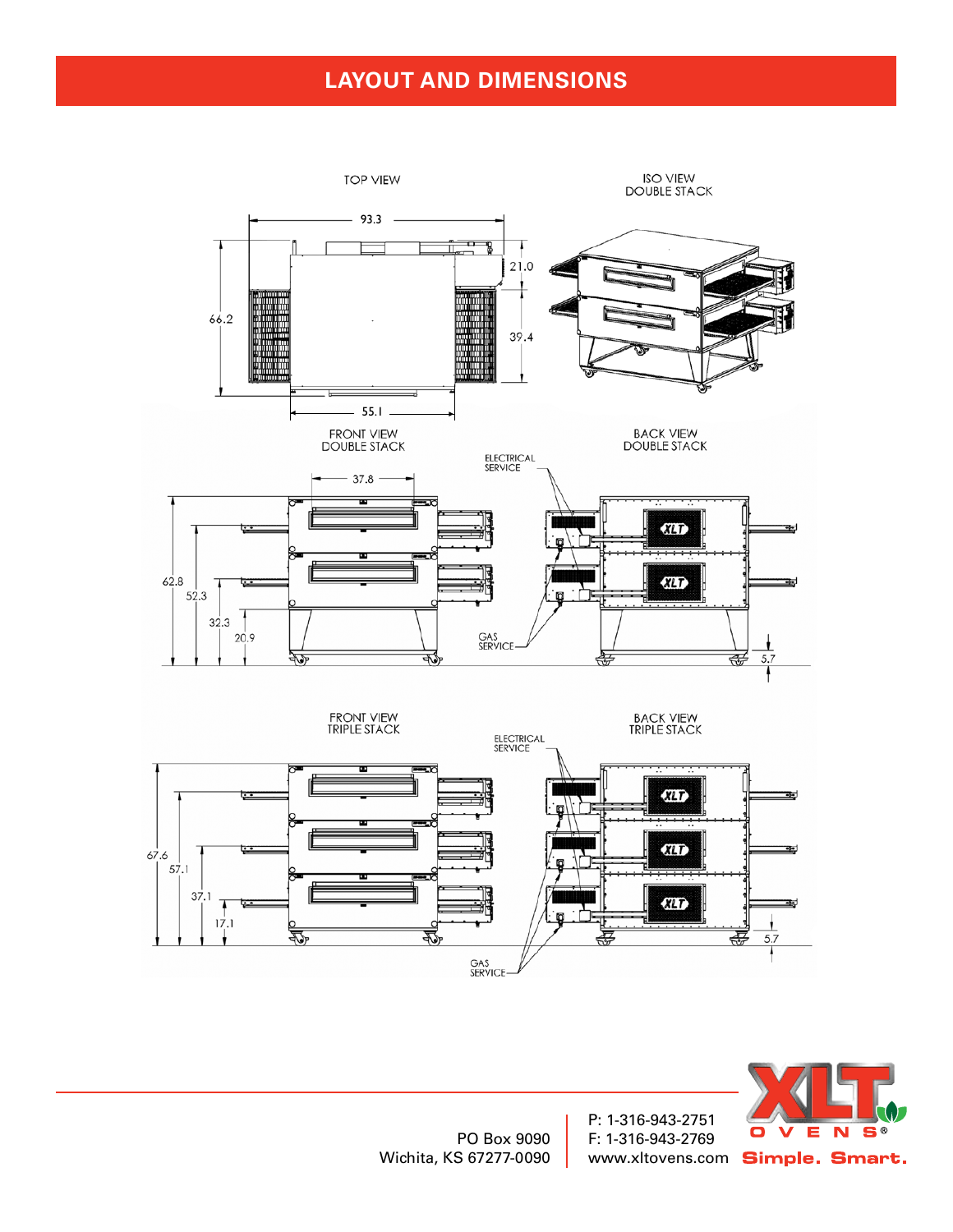## **LAYOUT AND DIMENSIONS**



PO Box 9090 Wichita, KS 67277-0090

P: 1-316-943-2751 F: 1-316-943-2769